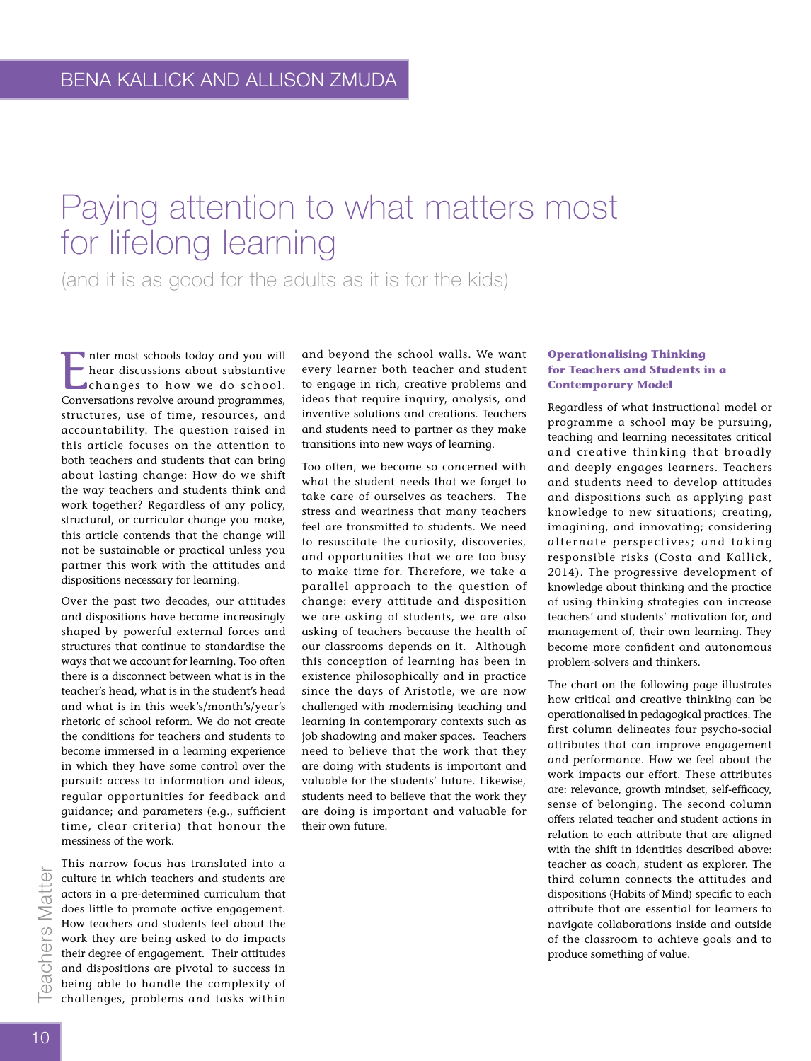# Paying attention to what matters most for lifelong learning

(and it is as good for the adults as it is for the kids)

Inter most schools today and you will<br>hear discussions about substantive<br>changes to how we do school.<br>Conversations revolve around programmes, nter most schools today and you will hear discussions about substantive changes to how we do school. structures, use of time, resources, and accountability. The question raised in this article focuses on the attention to both teachers and students that can bring about lasting change: How do we shift the way teachers and students think and work together? Regardless of any policy, structural, or curricular change you make, this article contends that the change will not be sustainable or practical unless you partner this work with the attitudes and dispositions necessary for learning.

Over the past two decades, our attitudes and dispositions have become increasingly shaped by powerful external forces and structures that continue to standardise the ways that we account for learning. Too often there is a disconnect between what is in the teacher's head, what is in the student's head and what is in this week's/month's/year's rhetoric of school reform. We do not create the conditions for teachers and students to become immersed in a learning experience in which they have some control over the pursuit: access to information and ideas, regular opportunities for feedback and guidance; and parameters (e.g., sufficient time, clear criteria) that honour the messiness of the work.

This narrow focus has translated into a culture in which teachers and students are actors in a pre-determined curriculum that does little to promote active engagement. How teachers and students feel about the work they are being asked to do impacts their degree of engagement. Their attitudes and dispositions are pivotal to success in being able to handle the complexity of challenges, problems and tasks within

and beyond the school walls. We want every learner both teacher and student to engage in rich, creative problems and ideas that require inquiry, analysis, and inventive solutions and creations*.* Teachers and students need to partner as they make transitions into new ways of learning.

Too often, we become so concerned with what the student needs that we forget to take care of ourselves as teachers. The stress and weariness that many teachers feel are transmitted to students. We need to resuscitate the curiosity, discoveries, and opportunities that we are too busy to make time for. Therefore, we take a parallel approach to the question of change: every attitude and disposition we are asking of students, we are also asking of teachers because the health of our classrooms depends on it. Although this conception of learning has been in existence philosophically and in practice since the days of Aristotle, we are now challenged with modernising teaching and learning in contemporary contexts such as job shadowing and maker spaces. Teachers need to believe that the work that they are doing with students is important and valuable for the students' future. Likewise, students need to believe that the work they are doing is important and valuable for their own future.

# **Operationalising Thinking for Teachers and Students in a Contemporary Model**

Regardless of what instructional model or programme a school may be pursuing, teaching and learning necessitates critical and creative thinking that broadly and deeply engages learners. Teachers and students need to develop attitudes and dispositions such as applying past knowledge to new situations; creating, imagining, and innovating; considering alternate perspectives; and taking responsible risks (Costa and Kallick, 2014). The progressive development of knowledge about thinking and the practice of using thinking strategies can increase teachers' and students' motivation for, and management of, their own learning. They become more confident and autonomous problem-solvers and thinkers.

The chart on the following page illustrates how critical and creative thinking can be operationalised in pedagogical practices. The first column delineates four psycho-social attributes that can improve engagement and performance. How we feel about the work impacts our effort. These attributes are: relevance, growth mindset, self-efficacy, sense of belonging. The second column offers related teacher and student actions in relation to each attribute that are aligned with the shift in identities described above: teacher as coach, student as explorer. The third column connects the attitudes and dispositions (Habits of Mind) specific to each attribute that are essential for learners to navigate collaborations inside and outside of the classroom to achieve goals and to produce something of value.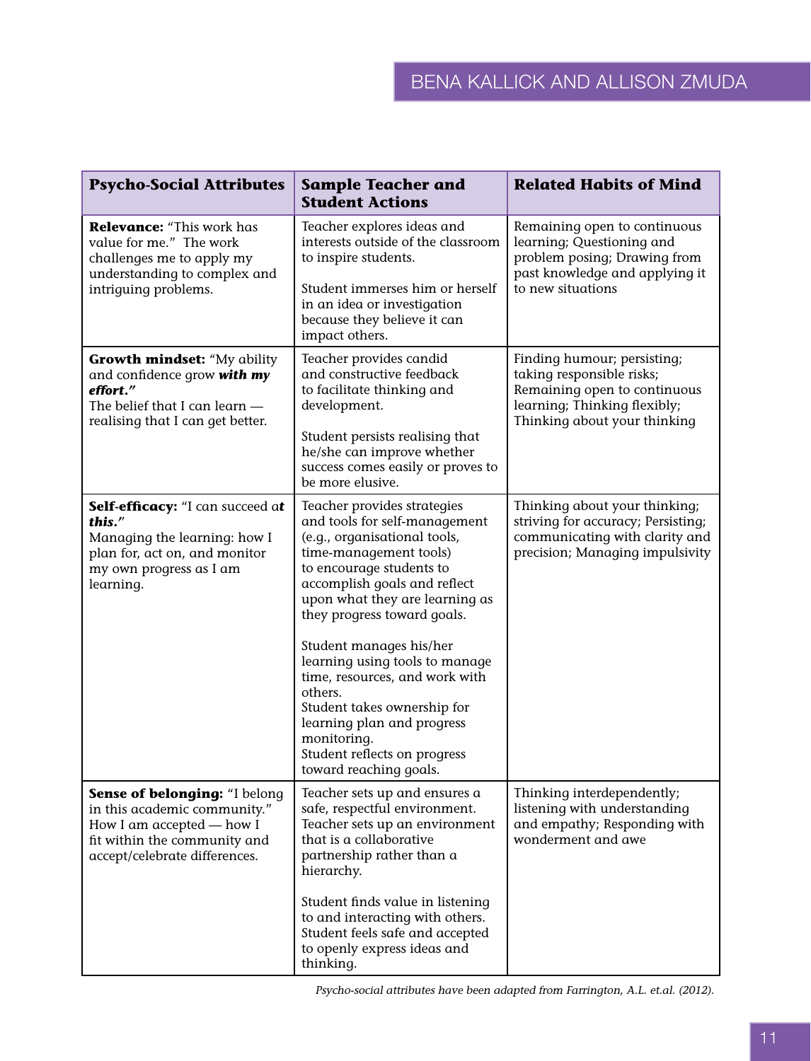| <b>Psycho-Social Attributes</b>                                                                                                                             | <b>Sample Teacher and</b><br><b>Student Actions</b>                                                                                                                                                                                                                                                                                                                                                                                                                                                 | <b>Related Habits of Mind</b>                                                                                                                            |
|-------------------------------------------------------------------------------------------------------------------------------------------------------------|-----------------------------------------------------------------------------------------------------------------------------------------------------------------------------------------------------------------------------------------------------------------------------------------------------------------------------------------------------------------------------------------------------------------------------------------------------------------------------------------------------|----------------------------------------------------------------------------------------------------------------------------------------------------------|
| Relevance: "This work has<br>value for me." The work<br>challenges me to apply my<br>understanding to complex and<br>intriguing problems.                   | Teacher explores ideas and<br>interests outside of the classroom<br>to inspire students.<br>Student immerses him or herself<br>in an idea or investigation<br>because they believe it can<br>impact others.                                                                                                                                                                                                                                                                                         | Remaining open to continuous<br>learning; Questioning and<br>problem posing; Drawing from<br>past knowledge and applying it<br>to new situations         |
| <b>Growth mindset: "My ability</b><br>and confidence grow with my<br>effort."<br>The belief that I can learn -<br>realising that I can get better.          | Teacher provides candid<br>and constructive feedback<br>to facilitate thinking and<br>development.<br>Student persists realising that<br>he/she can improve whether<br>success comes easily or proves to<br>be more elusive.                                                                                                                                                                                                                                                                        | Finding humour; persisting;<br>taking responsible risks;<br>Remaining open to continuous<br>learning; Thinking flexibly;<br>Thinking about your thinking |
| Self-efficacy: "I can succeed at<br>this."<br>Managing the learning: how I<br>plan for, act on, and monitor<br>my own progress as I am<br>learning.         | Teacher provides strategies<br>and tools for self-management<br>(e.g., organisational tools,<br>time-management tools)<br>to encourage students to<br>accomplish goals and reflect<br>upon what they are learning as<br>they progress toward goals.<br>Student manages his/her<br>learning using tools to manage<br>time, resources, and work with<br>others.<br>Student takes ownership for<br>learning plan and progress<br>monitoring.<br>Student reflects on progress<br>toward reaching goals. | Thinking about your thinking;<br>striving for accuracy; Persisting;<br>communicating with clarity and<br>precision; Managing impulsivity                 |
| Sense of belonging: "I belong<br>in this academic community."<br>How I am accepted - how I<br>fit within the community and<br>accept/celebrate differences. | Teacher sets up and ensures a<br>safe, respectful environment.<br>Teacher sets up an environment<br>that is a collaborative<br>partnership rather than a<br>hierarchy.<br>Student finds value in listening<br>to and interacting with others.<br>Student feels safe and accepted<br>to openly express ideas and<br>thinking.                                                                                                                                                                        | Thinking interdependently;<br>listening with understanding<br>and empathy; Responding with<br>wonderment and awe                                         |

Psycho-social attributes have been adapted from Farrington, A.L. et.al. (2012).